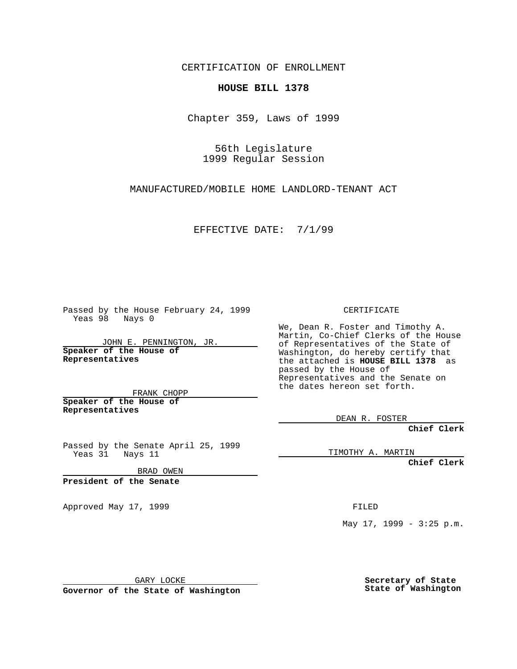CERTIFICATION OF ENROLLMENT

## **HOUSE BILL 1378**

Chapter 359, Laws of 1999

56th Legislature 1999 Regular Session

MANUFACTURED/MOBILE HOME LANDLORD-TENANT ACT

EFFECTIVE DATE: 7/1/99

Passed by the House February 24, 1999 Yeas 98 Nays 0

JOHN E. PENNINGTON, JR. **Speaker of the House of Representatives**

FRANK CHOPP **Speaker of the House of Representatives**

Passed by the Senate April 25, 1999 Yeas 31 Nays 11

BRAD OWEN

**President of the Senate**

Approved May 17, 1999 **FILED** 

CERTIFICATE

We, Dean R. Foster and Timothy A. Martin, Co-Chief Clerks of the House of Representatives of the State of Washington, do hereby certify that the attached is **HOUSE BILL 1378** as passed by the House of Representatives and the Senate on the dates hereon set forth.

DEAN R. FOSTER

**Chief Clerk**

TIMOTHY A. MARTIN

**Chief Clerk**

May 17, 1999 - 3:25 p.m.

GARY LOCKE

**Governor of the State of Washington**

**Secretary of State State of Washington**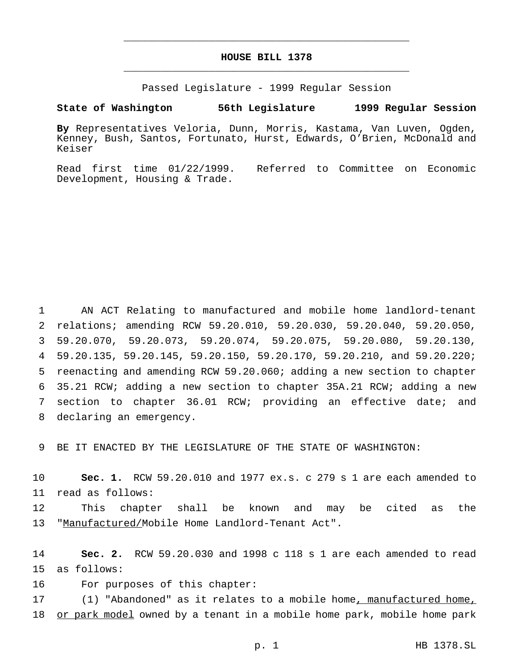## **HOUSE BILL 1378** \_\_\_\_\_\_\_\_\_\_\_\_\_\_\_\_\_\_\_\_\_\_\_\_\_\_\_\_\_\_\_\_\_\_\_\_\_\_\_\_\_\_\_\_\_\_\_

\_\_\_\_\_\_\_\_\_\_\_\_\_\_\_\_\_\_\_\_\_\_\_\_\_\_\_\_\_\_\_\_\_\_\_\_\_\_\_\_\_\_\_\_\_\_\_

Passed Legislature - 1999 Regular Session

## **State of Washington 56th Legislature 1999 Regular Session**

**By** Representatives Veloria, Dunn, Morris, Kastama, Van Luven, Ogden, Kenney, Bush, Santos, Fortunato, Hurst, Edwards, O'Brien, McDonald and Keiser

Read first time 01/22/1999. Referred to Committee on Economic Development, Housing & Trade.

 AN ACT Relating to manufactured and mobile home landlord-tenant relations; amending RCW 59.20.010, 59.20.030, 59.20.040, 59.20.050, 59.20.070, 59.20.073, 59.20.074, 59.20.075, 59.20.080, 59.20.130, 59.20.135, 59.20.145, 59.20.150, 59.20.170, 59.20.210, and 59.20.220; reenacting and amending RCW 59.20.060; adding a new section to chapter 35.21 RCW; adding a new section to chapter 35A.21 RCW; adding a new section to chapter 36.01 RCW; providing an effective date; and declaring an emergency.

9 BE IT ENACTED BY THE LEGISLATURE OF THE STATE OF WASHINGTON:

10 **Sec. 1.** RCW 59.20.010 and 1977 ex.s. c 279 s 1 are each amended to 11 read as follows:

12 This chapter shall be known and may be cited as the 13 "Manufactured/Mobile Home Landlord-Tenant Act".

14 **Sec. 2.** RCW 59.20.030 and 1998 c 118 s 1 are each amended to read 15 as follows:

16 For purposes of this chapter:

17 (1) "Abandoned" as it relates to a mobile home, manufactured home, 18 or park model owned by a tenant in a mobile home park, mobile home park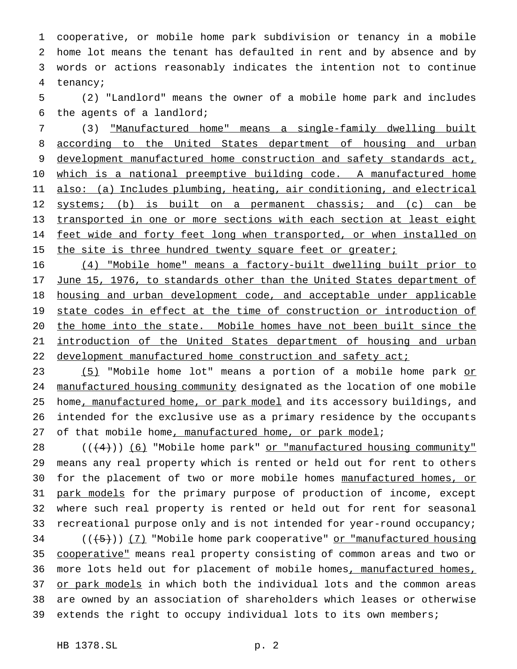cooperative, or mobile home park subdivision or tenancy in a mobile home lot means the tenant has defaulted in rent and by absence and by words or actions reasonably indicates the intention not to continue 4 tenancy;

5 (2) "Landlord" means the owner of a mobile home park and includes 6 the agents of a landlord;

7 (3) "Manufactured home" means a single-family dwelling built 8 according to the United States department of housing and urban 9 development manufactured home construction and safety standards act, 10 which is a national preemptive building code. A manufactured home 11 also: (a) Includes plumbing, heating, air conditioning, and electrical 12 systems; (b) is built on a permanent chassis; and (c) can be 13 transported in one or more sections with each section at least eight 14 feet wide and forty feet long when transported, or when installed on 15 the site is three hundred twenty square feet or greater;

16 (4) "Mobile home" means a factory-built dwelling built prior to 17 June 15, 1976, to standards other than the United States department of 18 housing and urban development code, and acceptable under applicable 19 state codes in effect at the time of construction or introduction of 20 the home into the state. Mobile homes have not been built since the 21 introduction of the United States department of housing and urban 22 development manufactured home construction and safety act;

23 (5) "Mobile home lot" means a portion of a mobile home park or 24 manufactured housing community designated as the location of one mobile 25 home, manufactured home, or park model and its accessory buildings, and 26 intended for the exclusive use as a primary residence by the occupants 27 of that mobile home, manufactured home, or park model;

28  $((4+))$  (6) "Mobile home park" or "manufactured housing community" 29 means any real property which is rented or held out for rent to others 30 for the placement of two or more mobile homes manufactured homes, or 31 park models for the primary purpose of production of income, except 32 where such real property is rented or held out for rent for seasonal 33 recreational purpose only and is not intended for year-round occupancy; 34 (((+5))) (7) "Mobile home park cooperative" or "manufactured housing 35 cooperative" means real property consisting of common areas and two or 36 more lots held out for placement of mobile homes, manufactured homes,

37 or park models in which both the individual lots and the common areas 38 are owned by an association of shareholders which leases or otherwise 39 extends the right to occupy individual lots to its own members;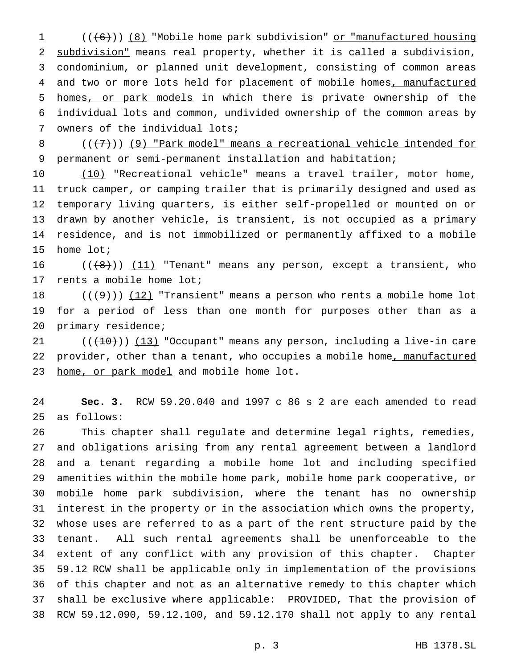1 (((6))) (8) "Mobile home park subdivision" or "manufactured housing subdivision" means real property, whether it is called a subdivision, condominium, or planned unit development, consisting of common areas 4 and two or more lots held for placement of mobile homes, manufactured homes, or park models in which there is private ownership of the individual lots and common, undivided ownership of the common areas by owners of the individual lots;

8  $((+7))$  (9) "Park model" means a recreational vehicle intended for permanent or semi-permanent installation and habitation;

 (10) "Recreational vehicle" means a travel trailer, motor home, truck camper, or camping trailer that is primarily designed and used as temporary living quarters, is either self-propelled or mounted on or drawn by another vehicle, is transient, is not occupied as a primary residence, and is not immobilized or permanently affixed to a mobile home lot;

 $((+8))$   $(11)$  "Tenant" means any person, except a transient, who rents a mobile home lot;

 $((+9))$   $(12)$  "Transient" means a person who rents a mobile home lot for a period of less than one month for purposes other than as a primary residence;

 $((+10))$   $(13)$  "Occupant" means any person, including a live-in care 22 provider, other than a tenant, who occupies a mobile home, manufactured 23 home, or park model and mobile home lot.

 **Sec. 3.** RCW 59.20.040 and 1997 c 86 s 2 are each amended to read as follows:

 This chapter shall regulate and determine legal rights, remedies, and obligations arising from any rental agreement between a landlord and a tenant regarding a mobile home lot and including specified amenities within the mobile home park, mobile home park cooperative, or mobile home park subdivision, where the tenant has no ownership interest in the property or in the association which owns the property, whose uses are referred to as a part of the rent structure paid by the tenant. All such rental agreements shall be unenforceable to the extent of any conflict with any provision of this chapter. Chapter 59.12 RCW shall be applicable only in implementation of the provisions of this chapter and not as an alternative remedy to this chapter which shall be exclusive where applicable: PROVIDED, That the provision of RCW 59.12.090, 59.12.100, and 59.12.170 shall not apply to any rental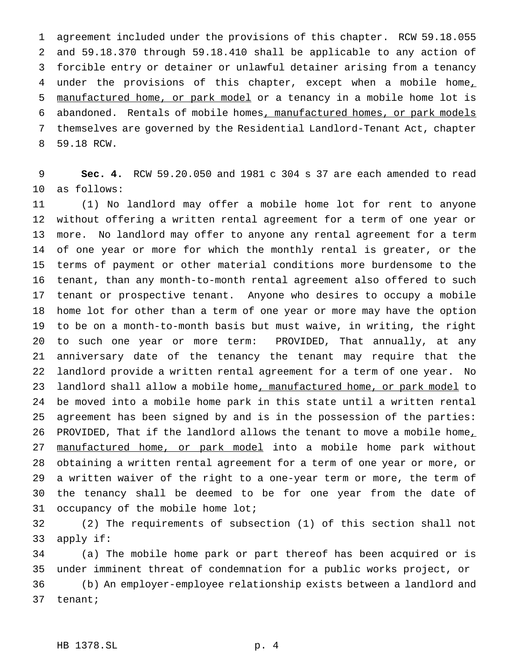agreement included under the provisions of this chapter. RCW 59.18.055 and 59.18.370 through 59.18.410 shall be applicable to any action of forcible entry or detainer or unlawful detainer arising from a tenancy 4 under the provisions of this chapter, except when a mobile home, 5 manufactured home, or park model or a tenancy in a mobile home lot is abandoned. Rentals of mobile homes, manufactured homes, or park models themselves are governed by the Residential Landlord-Tenant Act, chapter 59.18 RCW.

 **Sec. 4.** RCW 59.20.050 and 1981 c 304 s 37 are each amended to read as follows:

 (1) No landlord may offer a mobile home lot for rent to anyone without offering a written rental agreement for a term of one year or more. No landlord may offer to anyone any rental agreement for a term of one year or more for which the monthly rental is greater, or the terms of payment or other material conditions more burdensome to the tenant, than any month-to-month rental agreement also offered to such tenant or prospective tenant. Anyone who desires to occupy a mobile home lot for other than a term of one year or more may have the option to be on a month-to-month basis but must waive, in writing, the right to such one year or more term: PROVIDED, That annually, at any anniversary date of the tenancy the tenant may require that the landlord provide a written rental agreement for a term of one year. No 23 landlord shall allow a mobile home, manufactured home, or park model to be moved into a mobile home park in this state until a written rental agreement has been signed by and is in the possession of the parties: 26 PROVIDED, That if the landlord allows the tenant to move a mobile home, 27 manufactured home, or park model into a mobile home park without obtaining a written rental agreement for a term of one year or more, or a written waiver of the right to a one-year term or more, the term of the tenancy shall be deemed to be for one year from the date of occupancy of the mobile home lot;

 (2) The requirements of subsection (1) of this section shall not apply if:

 (a) The mobile home park or part thereof has been acquired or is under imminent threat of condemnation for a public works project, or (b) An employer-employee relationship exists between a landlord and tenant;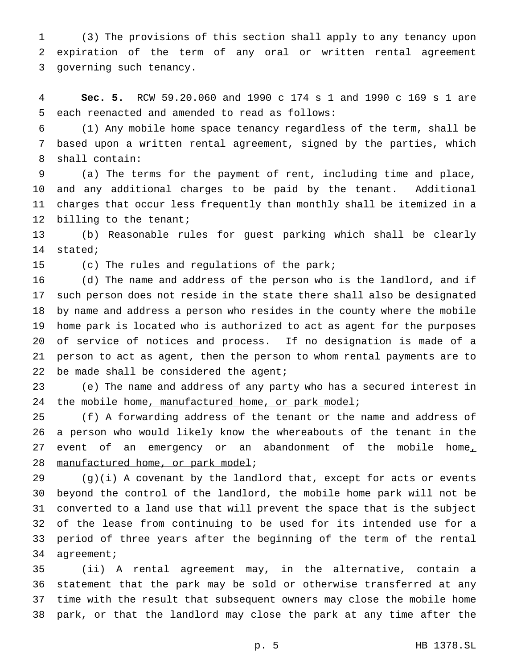(3) The provisions of this section shall apply to any tenancy upon expiration of the term of any oral or written rental agreement governing such tenancy.

 **Sec. 5.** RCW 59.20.060 and 1990 c 174 s 1 and 1990 c 169 s 1 are each reenacted and amended to read as follows:

 (1) Any mobile home space tenancy regardless of the term, shall be based upon a written rental agreement, signed by the parties, which shall contain:

 (a) The terms for the payment of rent, including time and place, and any additional charges to be paid by the tenant. Additional charges that occur less frequently than monthly shall be itemized in a 12 billing to the tenant;

 (b) Reasonable rules for guest parking which shall be clearly stated;

(c) The rules and regulations of the park;

 (d) The name and address of the person who is the landlord, and if such person does not reside in the state there shall also be designated by name and address a person who resides in the county where the mobile home park is located who is authorized to act as agent for the purposes of service of notices and process. If no designation is made of a person to act as agent, then the person to whom rental payments are to 22 be made shall be considered the agent;

 (e) The name and address of any party who has a secured interest in 24 the mobile home, manufactured home, or park model;

 (f) A forwarding address of the tenant or the name and address of a person who would likely know the whereabouts of the tenant in the 27 event of an emergency or an abandonment of the mobile home<sub> $l$ </sub> 28 manufactured home, or park model;

 (g)(i) A covenant by the landlord that, except for acts or events beyond the control of the landlord, the mobile home park will not be converted to a land use that will prevent the space that is the subject of the lease from continuing to be used for its intended use for a period of three years after the beginning of the term of the rental agreement;

 (ii) A rental agreement may, in the alternative, contain a statement that the park may be sold or otherwise transferred at any time with the result that subsequent owners may close the mobile home park, or that the landlord may close the park at any time after the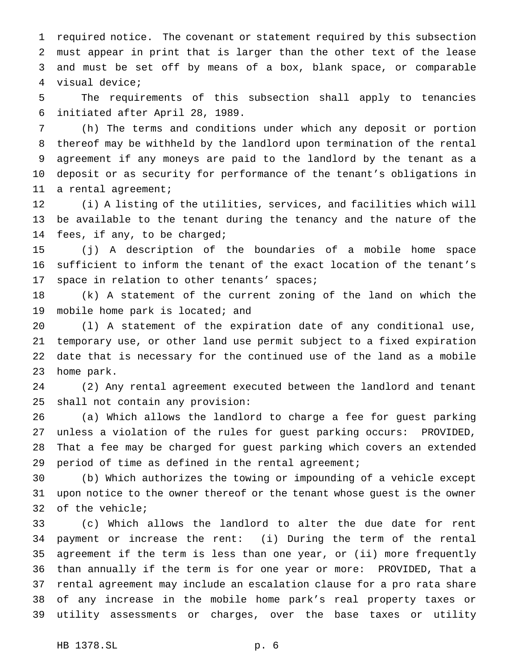required notice. The covenant or statement required by this subsection must appear in print that is larger than the other text of the lease and must be set off by means of a box, blank space, or comparable visual device;

 The requirements of this subsection shall apply to tenancies initiated after April 28, 1989.

 (h) The terms and conditions under which any deposit or portion thereof may be withheld by the landlord upon termination of the rental agreement if any moneys are paid to the landlord by the tenant as a deposit or as security for performance of the tenant's obligations in a rental agreement;

 (i) A listing of the utilities, services, and facilities which will be available to the tenant during the tenancy and the nature of the fees, if any, to be charged;

 (j) A description of the boundaries of a mobile home space sufficient to inform the tenant of the exact location of the tenant's space in relation to other tenants' spaces;

 (k) A statement of the current zoning of the land on which the mobile home park is located; and

 (l) A statement of the expiration date of any conditional use, temporary use, or other land use permit subject to a fixed expiration date that is necessary for the continued use of the land as a mobile home park.

 (2) Any rental agreement executed between the landlord and tenant shall not contain any provision:

 (a) Which allows the landlord to charge a fee for guest parking unless a violation of the rules for guest parking occurs: PROVIDED, That a fee may be charged for guest parking which covers an extended period of time as defined in the rental agreement;

 (b) Which authorizes the towing or impounding of a vehicle except upon notice to the owner thereof or the tenant whose guest is the owner of the vehicle;

 (c) Which allows the landlord to alter the due date for rent payment or increase the rent: (i) During the term of the rental agreement if the term is less than one year, or (ii) more frequently than annually if the term is for one year or more: PROVIDED, That a rental agreement may include an escalation clause for a pro rata share of any increase in the mobile home park's real property taxes or utility assessments or charges, over the base taxes or utility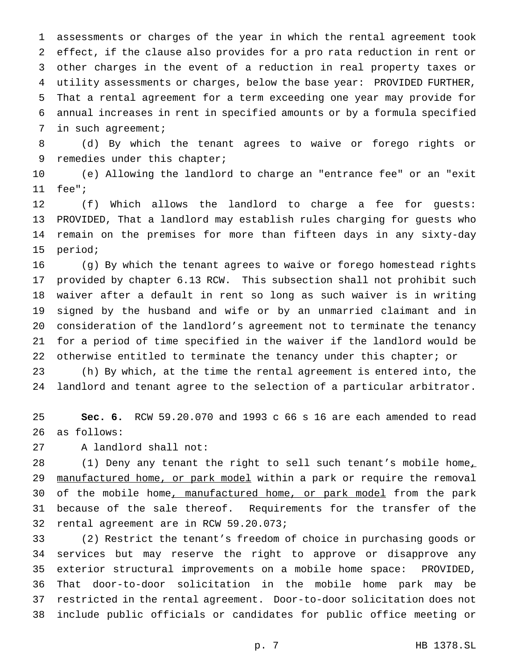assessments or charges of the year in which the rental agreement took effect, if the clause also provides for a pro rata reduction in rent or other charges in the event of a reduction in real property taxes or utility assessments or charges, below the base year: PROVIDED FURTHER, That a rental agreement for a term exceeding one year may provide for annual increases in rent in specified amounts or by a formula specified in such agreement;

 (d) By which the tenant agrees to waive or forego rights or 9 remedies under this chapter;

 (e) Allowing the landlord to charge an "entrance fee" or an "exit fee";

 (f) Which allows the landlord to charge a fee for guests: PROVIDED, That a landlord may establish rules charging for guests who remain on the premises for more than fifteen days in any sixty-day period;

 (g) By which the tenant agrees to waive or forego homestead rights provided by chapter 6.13 RCW. This subsection shall not prohibit such waiver after a default in rent so long as such waiver is in writing signed by the husband and wife or by an unmarried claimant and in consideration of the landlord's agreement not to terminate the tenancy for a period of time specified in the waiver if the landlord would be 22 otherwise entitled to terminate the tenancy under this chapter; or

 (h) By which, at the time the rental agreement is entered into, the landlord and tenant agree to the selection of a particular arbitrator.

 **Sec. 6.** RCW 59.20.070 and 1993 c 66 s 16 are each amended to read as follows:

A landlord shall not:

28 (1) Deny any tenant the right to sell such tenant's mobile home, 29 manufactured home, or park model within a park or require the removal 30 of the mobile home, manufactured home, or park model from the park because of the sale thereof. Requirements for the transfer of the rental agreement are in RCW 59.20.073;

 (2) Restrict the tenant's freedom of choice in purchasing goods or services but may reserve the right to approve or disapprove any exterior structural improvements on a mobile home space: PROVIDED, That door-to-door solicitation in the mobile home park may be restricted in the rental agreement. Door-to-door solicitation does not include public officials or candidates for public office meeting or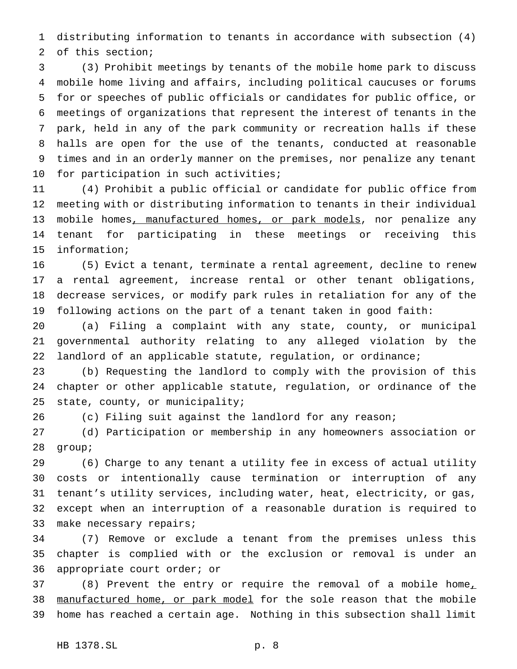distributing information to tenants in accordance with subsection (4) of this section;

 (3) Prohibit meetings by tenants of the mobile home park to discuss mobile home living and affairs, including political caucuses or forums for or speeches of public officials or candidates for public office, or meetings of organizations that represent the interest of tenants in the park, held in any of the park community or recreation halls if these halls are open for the use of the tenants, conducted at reasonable times and in an orderly manner on the premises, nor penalize any tenant for participation in such activities;

 (4) Prohibit a public official or candidate for public office from meeting with or distributing information to tenants in their individual 13 mobile homes, manufactured homes, or park models, nor penalize any tenant for participating in these meetings or receiving this information;

 (5) Evict a tenant, terminate a rental agreement, decline to renew a rental agreement, increase rental or other tenant obligations, decrease services, or modify park rules in retaliation for any of the following actions on the part of a tenant taken in good faith:

 (a) Filing a complaint with any state, county, or municipal governmental authority relating to any alleged violation by the landlord of an applicable statute, regulation, or ordinance;

 (b) Requesting the landlord to comply with the provision of this chapter or other applicable statute, regulation, or ordinance of the state, county, or municipality;

(c) Filing suit against the landlord for any reason;

(d) Participation or membership in any homeowners association or

group;

 (6) Charge to any tenant a utility fee in excess of actual utility costs or intentionally cause termination or interruption of any tenant's utility services, including water, heat, electricity, or gas, except when an interruption of a reasonable duration is required to 33 make necessary repairs;

 (7) Remove or exclude a tenant from the premises unless this chapter is complied with or the exclusion or removal is under an appropriate court order; or

37 (8) Prevent the entry or require the removal of a mobile home<sub> $\perp$ </sub> manufactured home, or park model for the sole reason that the mobile home has reached a certain age. Nothing in this subsection shall limit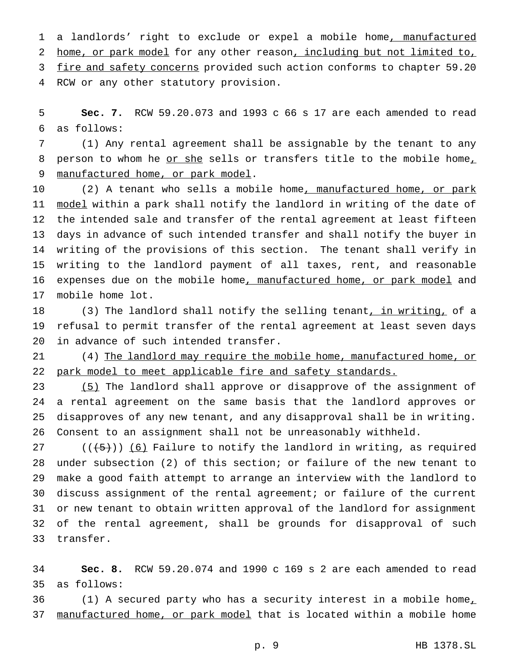1 a landlords' right to exclude or expel a mobile home, manufactured 2 home, or park model for any other reason, including but not limited to, 3 fire and safety concerns provided such action conforms to chapter 59.20 RCW or any other statutory provision.

 **Sec. 7.** RCW 59.20.073 and 1993 c 66 s 17 are each amended to read as follows:

 (1) Any rental agreement shall be assignable by the tenant to any 8 person to whom he or she sells or transfers title to the mobile home, 9 manufactured home, or park model.

10 (2) A tenant who sells a mobile home<u>, manufactured home, or park</u> 11 model within a park shall notify the landlord in writing of the date of the intended sale and transfer of the rental agreement at least fifteen days in advance of such intended transfer and shall notify the buyer in writing of the provisions of this section. The tenant shall verify in writing to the landlord payment of all taxes, rent, and reasonable 16 expenses due on the mobile home, manufactured home, or park model and mobile home lot.

18 (3) The landlord shall notify the selling tenant, in writing, of a refusal to permit transfer of the rental agreement at least seven days in advance of such intended transfer.

21 (4) The landlord may require the mobile home, manufactured home, or 22 park model to meet applicable fire and safety standards.

23 (5) The landlord shall approve or disapprove of the assignment of a rental agreement on the same basis that the landlord approves or disapproves of any new tenant, and any disapproval shall be in writing. Consent to an assignment shall not be unreasonably withheld.

 $((\{5\})$  (6) Failure to notify the landlord in writing, as required under subsection (2) of this section; or failure of the new tenant to make a good faith attempt to arrange an interview with the landlord to discuss assignment of the rental agreement; or failure of the current or new tenant to obtain written approval of the landlord for assignment of the rental agreement, shall be grounds for disapproval of such transfer.

 **Sec. 8.** RCW 59.20.074 and 1990 c 169 s 2 are each amended to read as follows:

 $(1)$  A secured party who has a security interest in a mobile home, 37 manufactured home, or park model that is located within a mobile home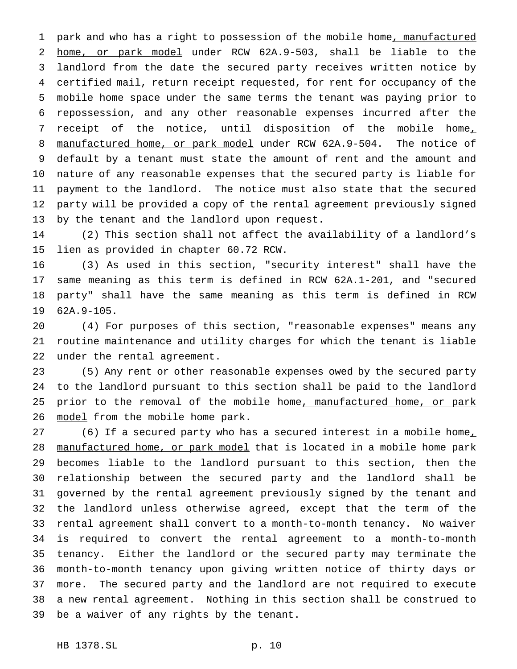1 park and who has a right to possession of the mobile home, manufactured home, or park model under RCW 62A.9-503, shall be liable to the landlord from the date the secured party receives written notice by certified mail, return receipt requested, for rent for occupancy of the mobile home space under the same terms the tenant was paying prior to repossession, and any other reasonable expenses incurred after the 7 receipt of the notice, until disposition of the mobile home, 8 manufactured home, or park model under RCW 62A.9-504. The notice of default by a tenant must state the amount of rent and the amount and nature of any reasonable expenses that the secured party is liable for payment to the landlord. The notice must also state that the secured party will be provided a copy of the rental agreement previously signed by the tenant and the landlord upon request.

 (2) This section shall not affect the availability of a landlord's lien as provided in chapter 60.72 RCW.

 (3) As used in this section, "security interest" shall have the same meaning as this term is defined in RCW 62A.1-201, and "secured party" shall have the same meaning as this term is defined in RCW 62A.9-105.

 (4) For purposes of this section, "reasonable expenses" means any routine maintenance and utility charges for which the tenant is liable under the rental agreement.

 (5) Any rent or other reasonable expenses owed by the secured party to the landlord pursuant to this section shall be paid to the landlord 25 prior to the removal of the mobile home, manufactured home, or park 26 model from the mobile home park.

27 (6) If a secured party who has a secured interest in a mobile home, 28 manufactured home, or park model that is located in a mobile home park becomes liable to the landlord pursuant to this section, then the relationship between the secured party and the landlord shall be governed by the rental agreement previously signed by the tenant and the landlord unless otherwise agreed, except that the term of the rental agreement shall convert to a month-to-month tenancy. No waiver is required to convert the rental agreement to a month-to-month tenancy. Either the landlord or the secured party may terminate the month-to-month tenancy upon giving written notice of thirty days or more. The secured party and the landlord are not required to execute a new rental agreement. Nothing in this section shall be construed to be a waiver of any rights by the tenant.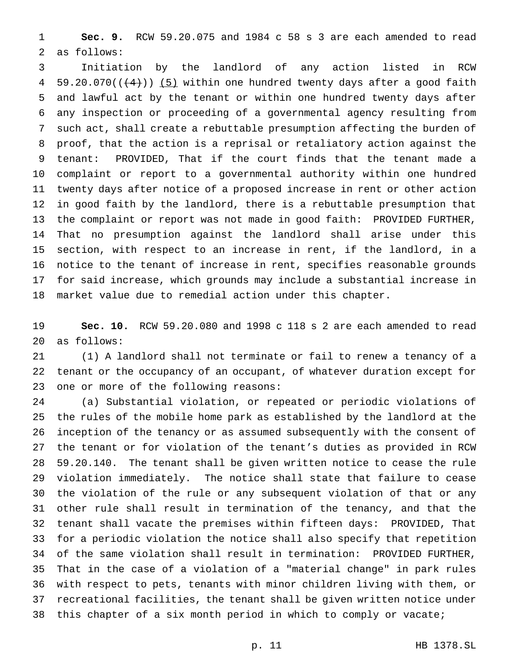**Sec. 9.** RCW 59.20.075 and 1984 c 58 s 3 are each amended to read as follows:

 Initiation by the landlord of any action listed in RCW 4 59.20.070( $(4)$ )) (5) within one hundred twenty days after a good faith and lawful act by the tenant or within one hundred twenty days after any inspection or proceeding of a governmental agency resulting from such act, shall create a rebuttable presumption affecting the burden of proof, that the action is a reprisal or retaliatory action against the tenant: PROVIDED, That if the court finds that the tenant made a complaint or report to a governmental authority within one hundred twenty days after notice of a proposed increase in rent or other action in good faith by the landlord, there is a rebuttable presumption that the complaint or report was not made in good faith: PROVIDED FURTHER, That no presumption against the landlord shall arise under this section, with respect to an increase in rent, if the landlord, in a notice to the tenant of increase in rent, specifies reasonable grounds for said increase, which grounds may include a substantial increase in market value due to remedial action under this chapter.

 **Sec. 10.** RCW 59.20.080 and 1998 c 118 s 2 are each amended to read as follows:

 (1) A landlord shall not terminate or fail to renew a tenancy of a tenant or the occupancy of an occupant, of whatever duration except for one or more of the following reasons:

 (a) Substantial violation, or repeated or periodic violations of the rules of the mobile home park as established by the landlord at the inception of the tenancy or as assumed subsequently with the consent of the tenant or for violation of the tenant's duties as provided in RCW 59.20.140. The tenant shall be given written notice to cease the rule violation immediately. The notice shall state that failure to cease the violation of the rule or any subsequent violation of that or any other rule shall result in termination of the tenancy, and that the tenant shall vacate the premises within fifteen days: PROVIDED, That for a periodic violation the notice shall also specify that repetition of the same violation shall result in termination: PROVIDED FURTHER, That in the case of a violation of a "material change" in park rules with respect to pets, tenants with minor children living with them, or recreational facilities, the tenant shall be given written notice under this chapter of a six month period in which to comply or vacate;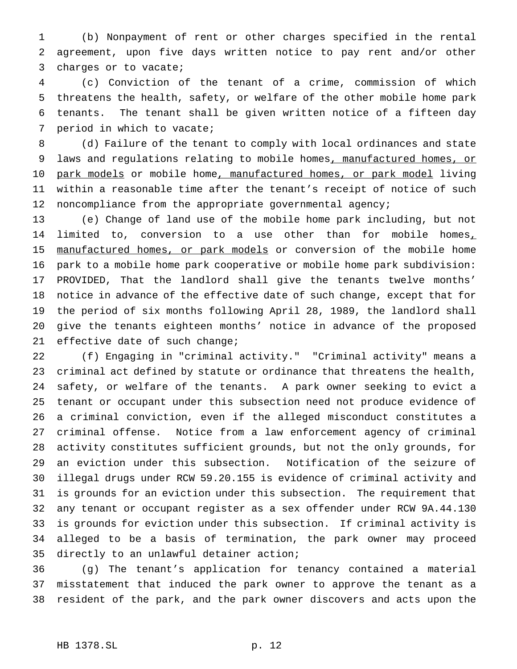(b) Nonpayment of rent or other charges specified in the rental agreement, upon five days written notice to pay rent and/or other charges or to vacate;

 (c) Conviction of the tenant of a crime, commission of which threatens the health, safety, or welfare of the other mobile home park tenants. The tenant shall be given written notice of a fifteen day period in which to vacate;

 (d) Failure of the tenant to comply with local ordinances and state laws and regulations relating to mobile homes, manufactured homes, or 10 park models or mobile home, manufactured homes, or park model living within a reasonable time after the tenant's receipt of notice of such noncompliance from the appropriate governmental agency;

 (e) Change of land use of the mobile home park including, but not 14 limited to, conversion to a use other than for mobile homes, 15 manufactured homes, or park models or conversion of the mobile home park to a mobile home park cooperative or mobile home park subdivision: PROVIDED, That the landlord shall give the tenants twelve months' notice in advance of the effective date of such change, except that for the period of six months following April 28, 1989, the landlord shall give the tenants eighteen months' notice in advance of the proposed 21 effective date of such change;

 (f) Engaging in "criminal activity." "Criminal activity" means a criminal act defined by statute or ordinance that threatens the health, safety, or welfare of the tenants. A park owner seeking to evict a tenant or occupant under this subsection need not produce evidence of a criminal conviction, even if the alleged misconduct constitutes a criminal offense. Notice from a law enforcement agency of criminal activity constitutes sufficient grounds, but not the only grounds, for an eviction under this subsection. Notification of the seizure of illegal drugs under RCW 59.20.155 is evidence of criminal activity and is grounds for an eviction under this subsection. The requirement that any tenant or occupant register as a sex offender under RCW 9A.44.130 is grounds for eviction under this subsection. If criminal activity is alleged to be a basis of termination, the park owner may proceed directly to an unlawful detainer action;

 (g) The tenant's application for tenancy contained a material misstatement that induced the park owner to approve the tenant as a resident of the park, and the park owner discovers and acts upon the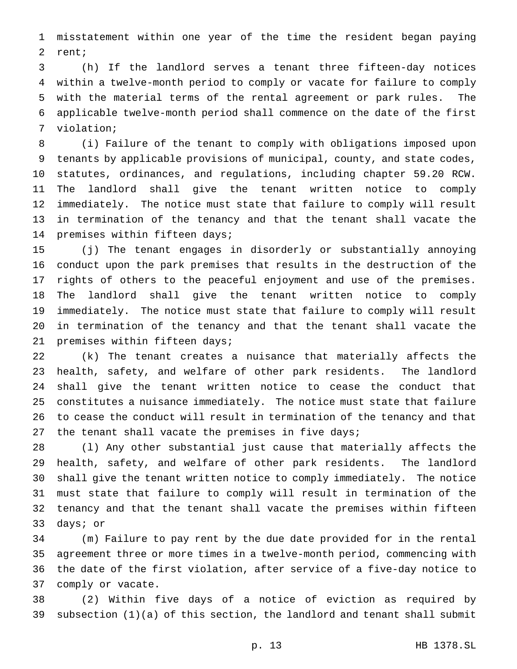misstatement within one year of the time the resident began paying rent;

 (h) If the landlord serves a tenant three fifteen-day notices within a twelve-month period to comply or vacate for failure to comply with the material terms of the rental agreement or park rules. The applicable twelve-month period shall commence on the date of the first violation;

 (i) Failure of the tenant to comply with obligations imposed upon tenants by applicable provisions of municipal, county, and state codes, statutes, ordinances, and regulations, including chapter 59.20 RCW. The landlord shall give the tenant written notice to comply immediately. The notice must state that failure to comply will result in termination of the tenancy and that the tenant shall vacate the premises within fifteen days;

 (j) The tenant engages in disorderly or substantially annoying conduct upon the park premises that results in the destruction of the rights of others to the peaceful enjoyment and use of the premises. The landlord shall give the tenant written notice to comply immediately. The notice must state that failure to comply will result in termination of the tenancy and that the tenant shall vacate the premises within fifteen days;

 (k) The tenant creates a nuisance that materially affects the health, safety, and welfare of other park residents. The landlord shall give the tenant written notice to cease the conduct that constitutes a nuisance immediately. The notice must state that failure to cease the conduct will result in termination of the tenancy and that the tenant shall vacate the premises in five days;

 (l) Any other substantial just cause that materially affects the health, safety, and welfare of other park residents. The landlord shall give the tenant written notice to comply immediately. The notice must state that failure to comply will result in termination of the tenancy and that the tenant shall vacate the premises within fifteen days; or

 (m) Failure to pay rent by the due date provided for in the rental agreement three or more times in a twelve-month period, commencing with the date of the first violation, after service of a five-day notice to comply or vacate.

 (2) Within five days of a notice of eviction as required by subsection (1)(a) of this section, the landlord and tenant shall submit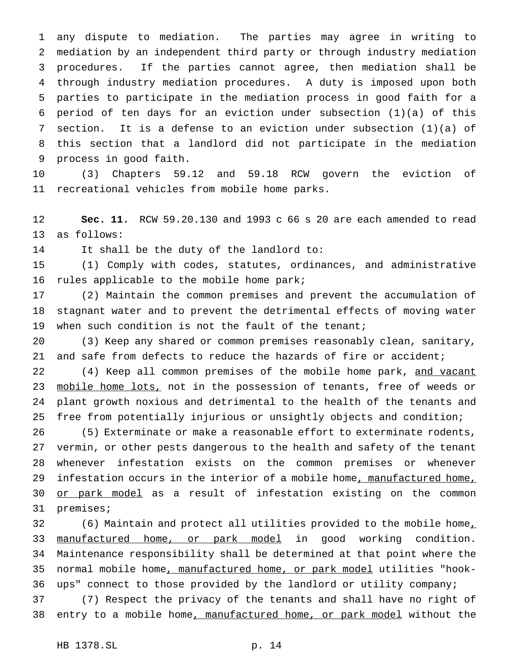any dispute to mediation. The parties may agree in writing to mediation by an independent third party or through industry mediation procedures. If the parties cannot agree, then mediation shall be through industry mediation procedures. A duty is imposed upon both parties to participate in the mediation process in good faith for a period of ten days for an eviction under subsection (1)(a) of this section. It is a defense to an eviction under subsection (1)(a) of this section that a landlord did not participate in the mediation process in good faith.

 (3) Chapters 59.12 and 59.18 RCW govern the eviction of recreational vehicles from mobile home parks.

 **Sec. 11.** RCW 59.20.130 and 1993 c 66 s 20 are each amended to read as follows:

It shall be the duty of the landlord to:

 (1) Comply with codes, statutes, ordinances, and administrative rules applicable to the mobile home park;

 (2) Maintain the common premises and prevent the accumulation of stagnant water and to prevent the detrimental effects of moving water when such condition is not the fault of the tenant;

 (3) Keep any shared or common premises reasonably clean, sanitary, and safe from defects to reduce the hazards of fire or accident;

22 (4) Keep all common premises of the mobile home park, and vacant 23 mobile home lots, not in the possession of tenants, free of weeds or plant growth noxious and detrimental to the health of the tenants and free from potentially injurious or unsightly objects and condition;

 (5) Exterminate or make a reasonable effort to exterminate rodents, vermin, or other pests dangerous to the health and safety of the tenant whenever infestation exists on the common premises or whenever 29 infestation occurs in the interior of a mobile home, manufactured home, 30 or park model as a result of infestation existing on the common premises;

32 (6) Maintain and protect all utilities provided to the mobile home<sub> $\perp$ </sub> 33 manufactured home, or park model in good working condition. Maintenance responsibility shall be determined at that point where the 35 normal mobile home, manufactured home, or park model utilities "hook-ups" connect to those provided by the landlord or utility company;

 (7) Respect the privacy of the tenants and shall have no right of 38 entry to a mobile home, manufactured home, or park model without the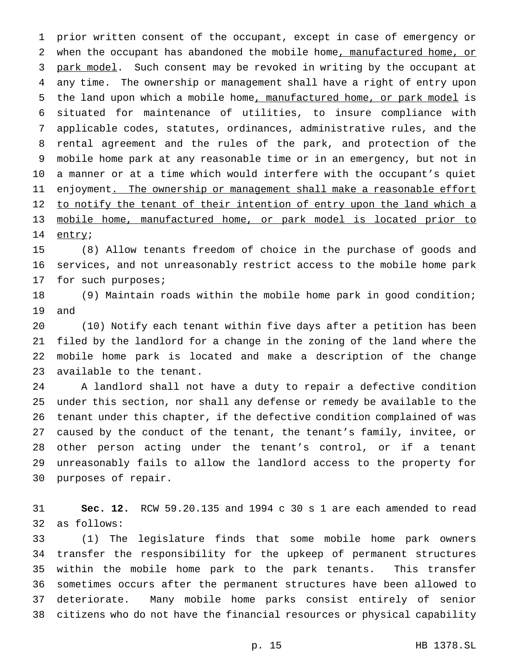prior written consent of the occupant, except in case of emergency or 2 when the occupant has abandoned the mobile home, manufactured home, or 3 park model. Such consent may be revoked in writing by the occupant at any time. The ownership or management shall have a right of entry upon the land upon which a mobile home, manufactured home, or park model is situated for maintenance of utilities, to insure compliance with applicable codes, statutes, ordinances, administrative rules, and the rental agreement and the rules of the park, and protection of the mobile home park at any reasonable time or in an emergency, but not in a manner or at a time which would interfere with the occupant's quiet 11 enjoyment<u>. The ownership or management shall make a reasonable effort</u> 12 to notify the tenant of their intention of entry upon the land which a 13 mobile home, manufactured home, or park model is located prior to 14 entry;

 (8) Allow tenants freedom of choice in the purchase of goods and services, and not unreasonably restrict access to the mobile home park for such purposes;

 (9) Maintain roads within the mobile home park in good condition; and

 (10) Notify each tenant within five days after a petition has been filed by the landlord for a change in the zoning of the land where the mobile home park is located and make a description of the change available to the tenant.

 A landlord shall not have a duty to repair a defective condition under this section, nor shall any defense or remedy be available to the tenant under this chapter, if the defective condition complained of was caused by the conduct of the tenant, the tenant's family, invitee, or other person acting under the tenant's control, or if a tenant unreasonably fails to allow the landlord access to the property for purposes of repair.

 **Sec. 12.** RCW 59.20.135 and 1994 c 30 s 1 are each amended to read as follows:

 (1) The legislature finds that some mobile home park owners transfer the responsibility for the upkeep of permanent structures within the mobile home park to the park tenants. This transfer sometimes occurs after the permanent structures have been allowed to deteriorate. Many mobile home parks consist entirely of senior citizens who do not have the financial resources or physical capability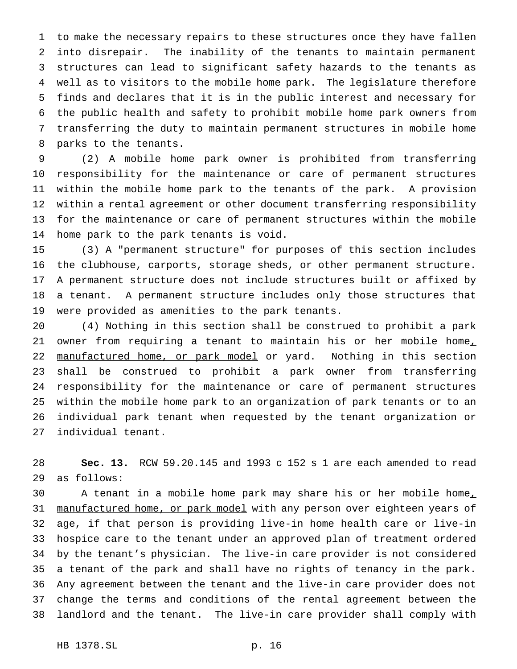to make the necessary repairs to these structures once they have fallen into disrepair. The inability of the tenants to maintain permanent structures can lead to significant safety hazards to the tenants as well as to visitors to the mobile home park. The legislature therefore finds and declares that it is in the public interest and necessary for the public health and safety to prohibit mobile home park owners from transferring the duty to maintain permanent structures in mobile home parks to the tenants.

 (2) A mobile home park owner is prohibited from transferring responsibility for the maintenance or care of permanent structures within the mobile home park to the tenants of the park. A provision within a rental agreement or other document transferring responsibility for the maintenance or care of permanent structures within the mobile home park to the park tenants is void.

 (3) A "permanent structure" for purposes of this section includes the clubhouse, carports, storage sheds, or other permanent structure. A permanent structure does not include structures built or affixed by a tenant. A permanent structure includes only those structures that were provided as amenities to the park tenants.

 (4) Nothing in this section shall be construed to prohibit a park 21 owner from requiring a tenant to maintain his or her mobile home, 22 manufactured home, or park model or yard. Nothing in this section shall be construed to prohibit a park owner from transferring responsibility for the maintenance or care of permanent structures within the mobile home park to an organization of park tenants or to an individual park tenant when requested by the tenant organization or individual tenant.

 **Sec. 13.** RCW 59.20.145 and 1993 c 152 s 1 are each amended to read as follows:

30 A tenant in a mobile home park may share his or her mobile home, 31 manufactured home, or park model with any person over eighteen years of age, if that person is providing live-in home health care or live-in hospice care to the tenant under an approved plan of treatment ordered by the tenant's physician. The live-in care provider is not considered a tenant of the park and shall have no rights of tenancy in the park. Any agreement between the tenant and the live-in care provider does not change the terms and conditions of the rental agreement between the landlord and the tenant. The live-in care provider shall comply with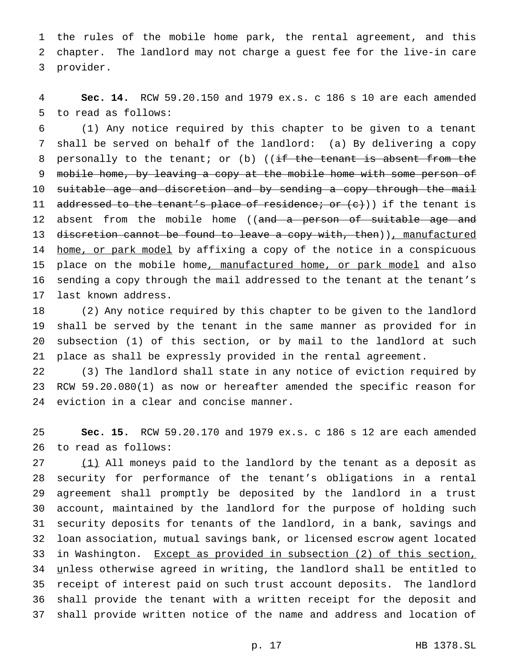the rules of the mobile home park, the rental agreement, and this chapter. The landlord may not charge a guest fee for the live-in care provider.

 **Sec. 14.** RCW 59.20.150 and 1979 ex.s. c 186 s 10 are each amended to read as follows:

 (1) Any notice required by this chapter to be given to a tenant shall be served on behalf of the landlord: (a) By delivering a copy 8 personally to the tenant; or (b) (( $\frac{1}{1}$  the tenant is absent from the 9 mobile home, by leaving a copy at the mobile home with some person of suitable age and discretion and by sending a copy through the mail 11 addressed to the tenant's place of residence; or (c))) if the tenant is 12 absent from the mobile home ((and a person of suitable age and 13 discretion cannot be found to leave a copy with, then)), manufactured 14 home, or park model by affixing a copy of the notice in a conspicuous 15 place on the mobile home, manufactured home, or park model and also sending a copy through the mail addressed to the tenant at the tenant's last known address.

 (2) Any notice required by this chapter to be given to the landlord shall be served by the tenant in the same manner as provided for in subsection (1) of this section, or by mail to the landlord at such place as shall be expressly provided in the rental agreement.

 (3) The landlord shall state in any notice of eviction required by RCW 59.20.080(1) as now or hereafter amended the specific reason for eviction in a clear and concise manner.

 **Sec. 15.** RCW 59.20.170 and 1979 ex.s. c 186 s 12 are each amended to read as follows:

27 (1) All moneys paid to the landlord by the tenant as a deposit as security for performance of the tenant's obligations in a rental agreement shall promptly be deposited by the landlord in a trust account, maintained by the landlord for the purpose of holding such security deposits for tenants of the landlord, in a bank, savings and loan association, mutual savings bank, or licensed escrow agent located in Washington. Except as provided in subsection (2) of this section, unless otherwise agreed in writing, the landlord shall be entitled to receipt of interest paid on such trust account deposits. The landlord shall provide the tenant with a written receipt for the deposit and shall provide written notice of the name and address and location of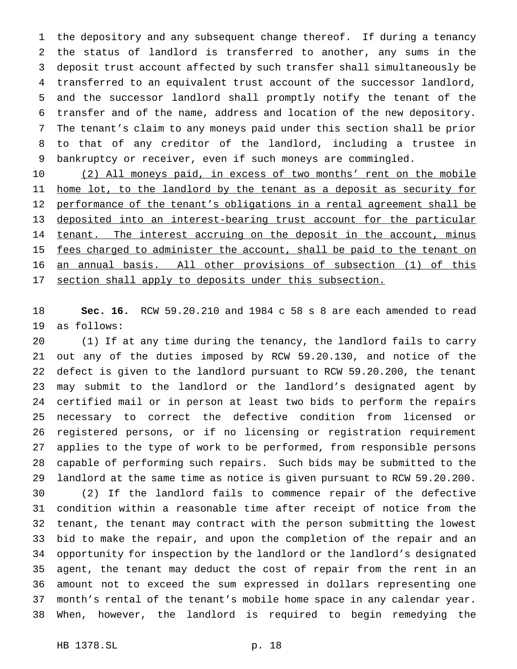the depository and any subsequent change thereof. If during a tenancy the status of landlord is transferred to another, any sums in the deposit trust account affected by such transfer shall simultaneously be transferred to an equivalent trust account of the successor landlord, and the successor landlord shall promptly notify the tenant of the transfer and of the name, address and location of the new depository. The tenant's claim to any moneys paid under this section shall be prior to that of any creditor of the landlord, including a trustee in bankruptcy or receiver, even if such moneys are commingled.

 (2) All moneys paid, in excess of two months' rent on the mobile 11 home lot, to the landlord by the tenant as a deposit as security for 12 performance of the tenant's obligations in a rental agreement shall be deposited into an interest-bearing trust account for the particular 14 tenant. The interest accruing on the deposit in the account, minus 15 fees charged to administer the account, shall be paid to the tenant on an annual basis. All other provisions of subsection (1) of this 17 section shall apply to deposits under this subsection.

 **Sec. 16.** RCW 59.20.210 and 1984 c 58 s 8 are each amended to read as follows:

 (1) If at any time during the tenancy, the landlord fails to carry out any of the duties imposed by RCW 59.20.130, and notice of the defect is given to the landlord pursuant to RCW 59.20.200, the tenant may submit to the landlord or the landlord's designated agent by certified mail or in person at least two bids to perform the repairs necessary to correct the defective condition from licensed or registered persons, or if no licensing or registration requirement applies to the type of work to be performed, from responsible persons capable of performing such repairs. Such bids may be submitted to the landlord at the same time as notice is given pursuant to RCW 59.20.200. (2) If the landlord fails to commence repair of the defective condition within a reasonable time after receipt of notice from the tenant, the tenant may contract with the person submitting the lowest bid to make the repair, and upon the completion of the repair and an opportunity for inspection by the landlord or the landlord's designated agent, the tenant may deduct the cost of repair from the rent in an amount not to exceed the sum expressed in dollars representing one month's rental of the tenant's mobile home space in any calendar year. When, however, the landlord is required to begin remedying the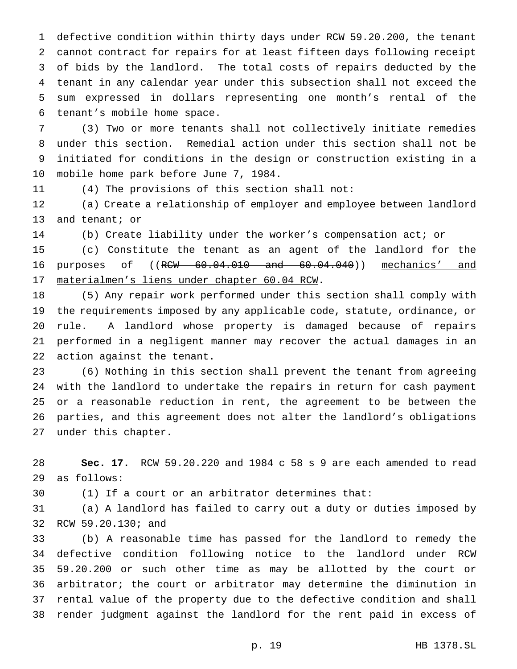defective condition within thirty days under RCW 59.20.200, the tenant cannot contract for repairs for at least fifteen days following receipt of bids by the landlord. The total costs of repairs deducted by the tenant in any calendar year under this subsection shall not exceed the sum expressed in dollars representing one month's rental of the tenant's mobile home space.

 (3) Two or more tenants shall not collectively initiate remedies under this section. Remedial action under this section shall not be initiated for conditions in the design or construction existing in a mobile home park before June 7, 1984.

(4) The provisions of this section shall not:

 (a) Create a relationship of employer and employee between landlord 13 and tenant; or

(b) Create liability under the worker's compensation act; or

 (c) Constitute the tenant as an agent of the landlord for the purposes of ((RCW 60.04.010 and 60.04.040)) mechanics' and materialmen's liens under chapter 60.04 RCW.

 (5) Any repair work performed under this section shall comply with the requirements imposed by any applicable code, statute, ordinance, or rule. A landlord whose property is damaged because of repairs performed in a negligent manner may recover the actual damages in an action against the tenant.

 (6) Nothing in this section shall prevent the tenant from agreeing with the landlord to undertake the repairs in return for cash payment or a reasonable reduction in rent, the agreement to be between the parties, and this agreement does not alter the landlord's obligations under this chapter.

 **Sec. 17.** RCW 59.20.220 and 1984 c 58 s 9 are each amended to read as follows:

(1) If a court or an arbitrator determines that:

 (a) A landlord has failed to carry out a duty or duties imposed by RCW 59.20.130; and

 (b) A reasonable time has passed for the landlord to remedy the defective condition following notice to the landlord under RCW 59.20.200 or such other time as may be allotted by the court or arbitrator; the court or arbitrator may determine the diminution in rental value of the property due to the defective condition and shall render judgment against the landlord for the rent paid in excess of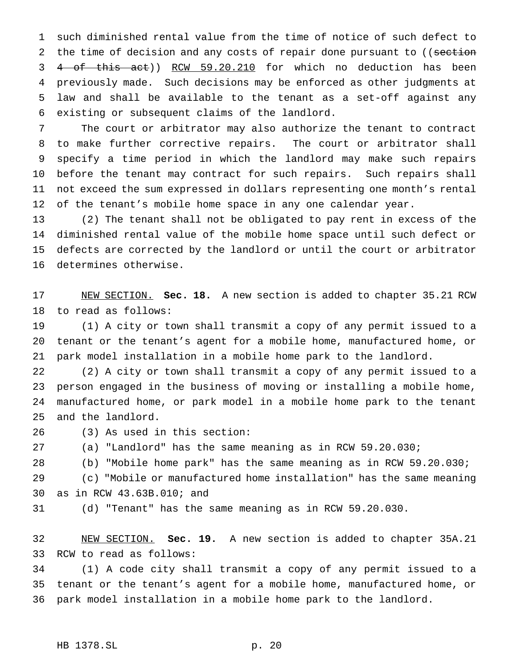such diminished rental value from the time of notice of such defect to 2 the time of decision and any costs of repair done pursuant to ((section 4 of this act)) RCW 59.20.210 for which no deduction has been previously made. Such decisions may be enforced as other judgments at law and shall be available to the tenant as a set-off against any existing or subsequent claims of the landlord.

 The court or arbitrator may also authorize the tenant to contract to make further corrective repairs. The court or arbitrator shall specify a time period in which the landlord may make such repairs before the tenant may contract for such repairs. Such repairs shall not exceed the sum expressed in dollars representing one month's rental 12 of the tenant's mobile home space in any one calendar year.

 (2) The tenant shall not be obligated to pay rent in excess of the diminished rental value of the mobile home space until such defect or defects are corrected by the landlord or until the court or arbitrator determines otherwise.

 NEW SECTION. **Sec. 18.** A new section is added to chapter 35.21 RCW to read as follows:

 (1) A city or town shall transmit a copy of any permit issued to a tenant or the tenant's agent for a mobile home, manufactured home, or park model installation in a mobile home park to the landlord.

 (2) A city or town shall transmit a copy of any permit issued to a person engaged in the business of moving or installing a mobile home, manufactured home, or park model in a mobile home park to the tenant and the landlord.

(3) As used in this section:

(a) "Landlord" has the same meaning as in RCW 59.20.030;

(b) "Mobile home park" has the same meaning as in RCW 59.20.030;

 (c) "Mobile or manufactured home installation" has the same meaning as in RCW 43.63B.010; and

(d) "Tenant" has the same meaning as in RCW 59.20.030.

 NEW SECTION. **Sec. 19.** A new section is added to chapter 35A.21 RCW to read as follows:

 (1) A code city shall transmit a copy of any permit issued to a tenant or the tenant's agent for a mobile home, manufactured home, or park model installation in a mobile home park to the landlord.